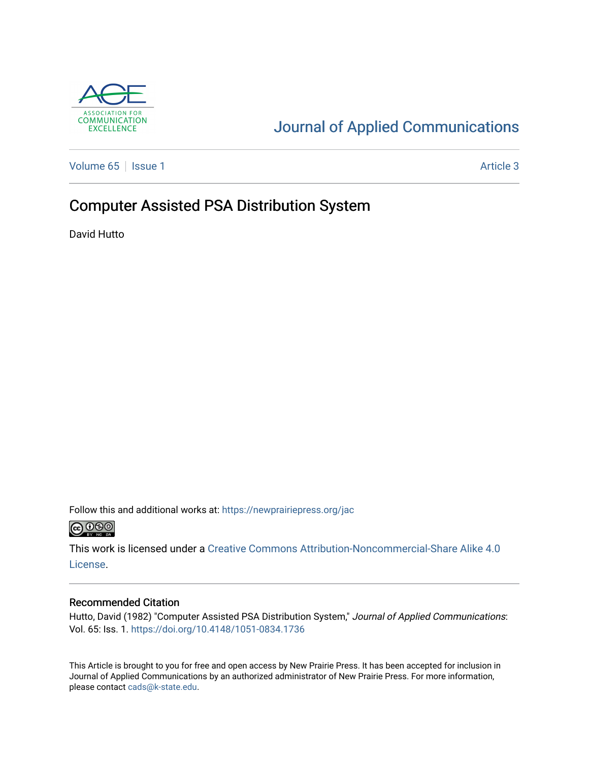

## [Journal of Applied Communications](https://newprairiepress.org/jac)

[Volume 65](https://newprairiepress.org/jac/vol65) | [Issue 1](https://newprairiepress.org/jac/vol65/iss1) Article 3

## Computer Assisted PSA Distribution System

David Hutto

Follow this and additional works at: [https://newprairiepress.org/jac](https://newprairiepress.org/jac?utm_source=newprairiepress.org%2Fjac%2Fvol65%2Fiss1%2F3&utm_medium=PDF&utm_campaign=PDFCoverPages)  $\bigcirc$  0.90

This work is licensed under a [Creative Commons Attribution-Noncommercial-Share Alike 4.0](https://creativecommons.org/licenses/by-nc-sa/4.0/) [License.](https://creativecommons.org/licenses/by-nc-sa/4.0/)

#### Recommended Citation

Hutto, David (1982) "Computer Assisted PSA Distribution System," Journal of Applied Communications: Vol. 65: Iss. 1.<https://doi.org/10.4148/1051-0834.1736>

This Article is brought to you for free and open access by New Prairie Press. It has been accepted for inclusion in Journal of Applied Communications by an authorized administrator of New Prairie Press. For more information, please contact [cads@k-state.edu.](mailto:cads@k-state.edu)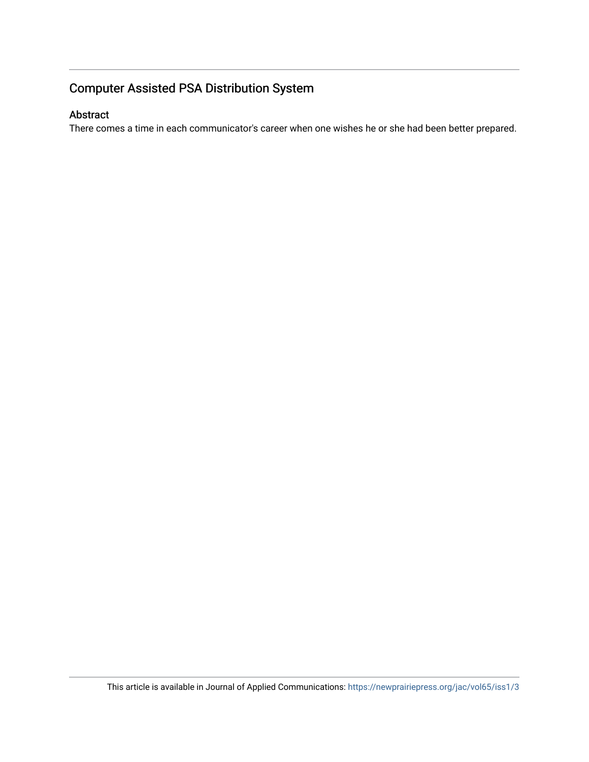## Computer Assisted PSA Distribution System

#### Abstract

There comes a time in each communicator's career when one wishes he or she had been better prepared.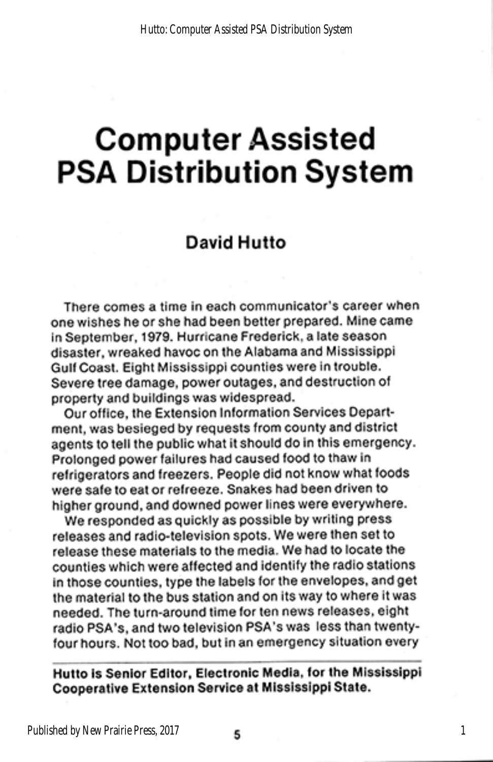# **Computer Assisted PSA Distribution System**

### David Hutto

There comes a time in each communicator's career when one wishes he or she had been better prepared. Mine came in September, 1979. Hurricane Frederick, a late season disaster, wreaked havoc on the Alabama and Mississippi Gulf Coast. Eight Mississippi counties were in trouble. Severe tree damage, power outages, and destruction of property and buildings was widespread.

Our office, the Extension Information Services Department, was besieged by requests from county and district agents to tell the public what it should do in this emergency. Prolonged power failures had caused food to thaw in refrigerators and freezers. People did not know what foods were safe to eat or refreeze. Snakes had been driven to higher ground, and downed power lines were everywhere.

We responded as quickly as possible by writing press releases and radio-television spots. We were then set to release these materials to the media. We had to locate the counties which were affected and identify the radio stations in those counties, type the labels for the envelopes, and get the material to the bus station and on its way to where it was needed. The turn-around time for ten news releases, eight radio PSA's, and two television PSA's was less than twentyfour hours. Not too bad, but in an emergency situation every

#### Hutto is Senior Editor, Electronic Media, for the Mississippi Cooperative Extension Service at Mississippi State.

1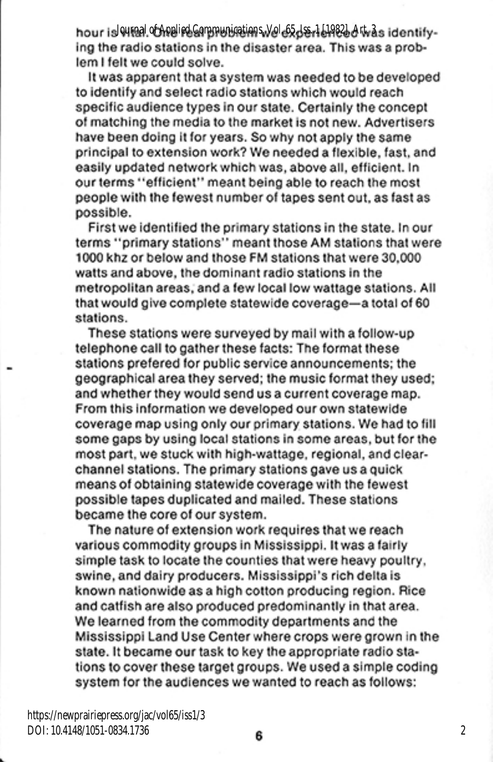hour is winal of Applied Communications, Vol. 65, Jss. 1 [1982], Art. as identifying the radio stations in the disaster area. This was a problem I felt we could solve.

It was apparent that a system was needed to be developed to identify and select radio stations which would reach specific audience types in our state. Certainly the concept of matching the media to the market is not new. Advertisers have been doing it for years. So why not apply the same principal to extension work? We needed a flexible, fast, and easily updated network which was, above all, efficient. In our terms "efficient" meant being able to reach the most people with the fewest number of tapes sent out, as fast as possible.

First we identified the primary stations in the state. In our terms "primary stations" meant those AM stations that were 1000 khz or below and those FM stations that were 30,000<br>watts and above, the dominant radio stations in the metropolitan areas, and a few local low wattage stations. All<br>that would give complete statewide coverage—a total of 60 stations.

il with a fo<mark>ll</mark><br>le format th stations prefered for public service announcements; the geographical area they served; the music format they used; and whether they would send us a current coverage map. From this information we developed our own statewide coverage map using only our primary stations. We had to fill<br>some gaps by using local stations in some areas, but for the<br>most part, we stuck with high-wattage, regional, and clearchannel stations. The primary stations gave us a quick means of obtaining statewide coverage with the fewest possible tapes duplicated and mailed. These stations became the core of our system.

The nature of extension work requires that we reach various commodity groups in Mississippi. It was a fairly simple task to locate the counties that were heavy poultry. swine, and dairy producers. Mississippi's rich delta is known nationwide as a high cotton producing region. Rice and catfish are also produced predominantly in that area. We learned from the commodity departments and the Mississippi Land Use Center where crops were grown in the state. It became our task to key the appropriate radio stations to cover these target groups. We used a simple coding system for the audiences we wanted to reach as follows:

https://newprairiepress.org/jac/vol65/iss1/3 DOI: 10.4148/1051-0834.1736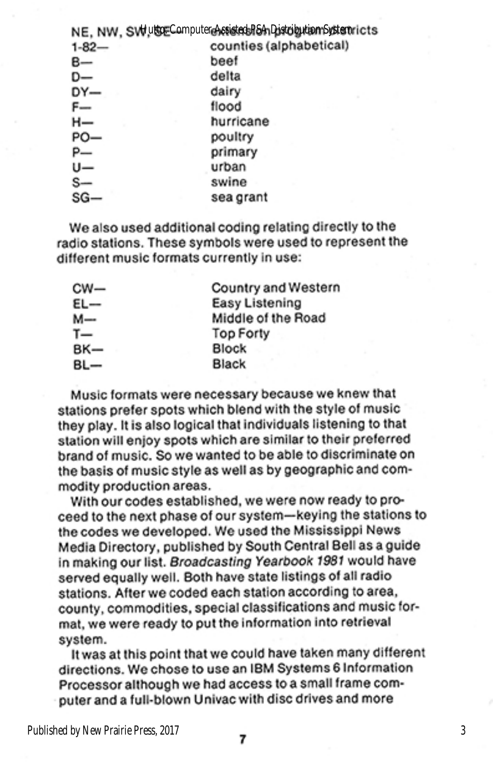|            | NE, NW, SVHutSEComputereAstistedsR&ADistributionSystemricts |
|------------|-------------------------------------------------------------|
| $1 - 82 -$ | counties (alphabetical)                                     |
| B—         | beef                                                        |
| D-         | delta                                                       |
| DY-        | dairy                                                       |
| $F-$       | flood                                                       |
| н—         | hurricane                                                   |
| PO-        | poultry                                                     |
|            | primary                                                     |
|            | urban                                                       |
|            | swine                                                       |
|            | sea grant                                                   |

We also used additional coding relating directly to the radio stations. These symbols were used to represent the different music formats currently in use:

| cw— | Country and Western |
|-----|---------------------|
| EL- | Easy Listening      |
| м-  | Middle of the Road  |
| T—  | <b>Top Forty</b>    |
| BK— | Block               |
| BL— | Black               |

Music formats were necessary because we knew that stations prefer spots which blend with the style of music they play. It is also logical that individuals listening to that station will enjoy spots which are similar to their preferred brand of music. So we wanted to be able to discriminate on the basis of music style as well as by geographic and commodity production areas.

With our codes established, we were now ready to proceed to the next phase of our system-keying the stations to the codes we developed. We used the Mississippi News Media Directory, published by South Central Bell as a guide in making our list. Broadcasting Yearbook 1981 would have served equally well. Both have state listings of all radio stations. After we coded each station according to area, county, commodities, special classifications and music format, we were ready to put the information into retrieval system.

It was at this point that we could have taken many different directions. We chose to use an IBM Systems 6 Information Processor although we had access to a small frame computer and a full-blown Univac with disc drives and more

Published by New Prairie Press, 2017

3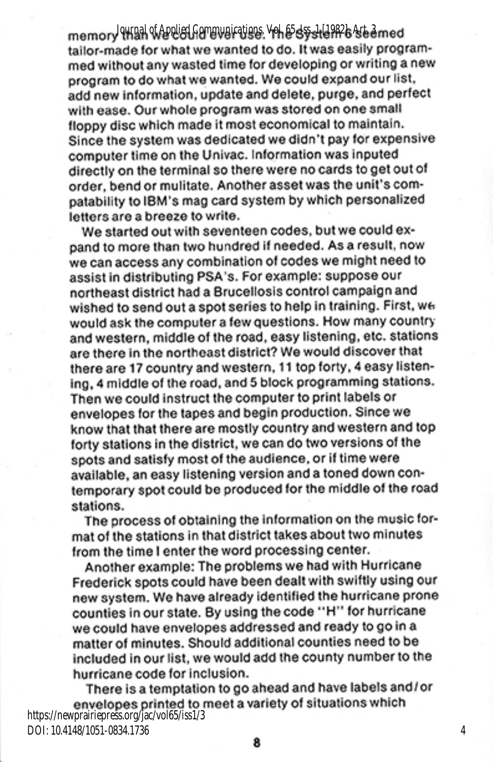*Journal of Applied Communications, Vol. 65, Iss. 1 [1982], Art. 3* tailor-made for what we wanted to do. It was easily programmed without any wasted time for developing or writing a new program to do what we wanted. We could expand our list, add new information, update and delete, purge, and perfect with ease. Our whole program was stored on one small floppy disc which made it most economical to maintain. Since the system was dedicated we didn't pay for expensive computer time on the Univac. Information was inputed directly on the terminal so there were no cards to get out of order, bend or mulitate. Another asset was the unit's compatability to IBM's mag card system by which personalized letters are a breeze to write.

We started out with seventeen codes, but we could expand to more than two hundred if needed. As a result, now we can access any combination of codes we might need to assist in distributing PSA's. For example: suppose our northeast district had a Brucellosis control campaign and wished to send out a spot series to help in training. First, we would ask the computer a few questions. How many country and western, middle of the road, easy listening, etc. stations are there in the northeast district? We would discover that there are 17 country and western, 11 top forty, 4 easy listening, 4 middle of the road, and 5 block programming stations. Then we could instruct the computer to print labels or envelopes for the tapes and begin production. Since we know that that there are mostly country and western and top forty stations in the district, we can do two versions of the spots and satisfy most of the audience, or if time were available, an easy listening version and a toned down contemporary spot could be produced for the middle of the road stations.

The process of obtaining the information on the music format of the stations in that district takes about two minutes from the time I enter the word processing center.

Another example: The problems we had with Hurricane Frederick spots could have been dealt with swiftly using our new system. We have already identified the hurricane prone counties in our state. By using the code "H" for hurricane we could have envelopes addressed and ready to go in a matter of minutes. Should additional counties need to be included in our list, we would add the county number to the hurricane code for inclusion.

There is a temptation to go ahead and have labels and/or envelopes printed to meet a variety of situations which https://newprairiepress.org/jac/vol65/iss1/3 DOI: 10.4148/1051-0834.1736•

4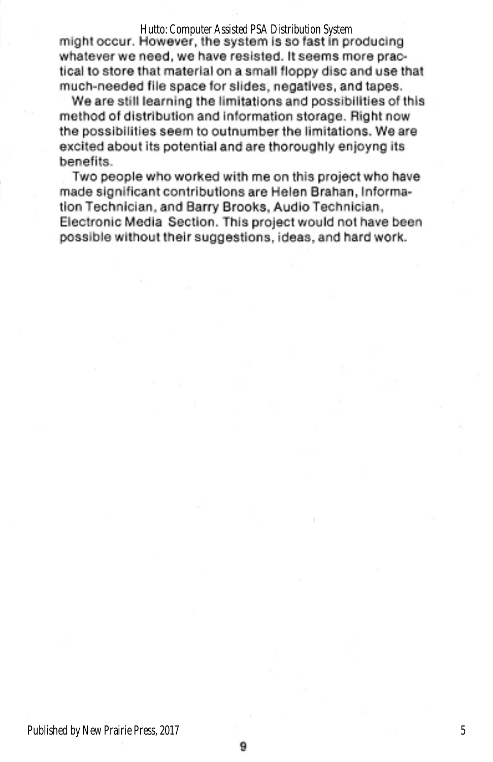#### Hutto: Computer Assisted PSA Distribution System

might occur. However, the system is so fast in producing whatever we need, we have resisted. It seems more practical to store that material on a small floppy disc and use that much-needed file space for slides, negatives, and tapes.

We are still learning the limitations and possibilities of this method of distribution and information storage. Right now the possibilities seem to outnumber the limitations. We are excited about its potential and are thoroughly enjoyng its benefits.

Two people who worked with me on this project who have made significant contributions are Helen Brahan, Information Technician, and Barry Brooks, Audio Technician, Electronic Media Section. This project would not have been possible without their suggestions, ideas, and hard work.

9

 $\overline{5}$